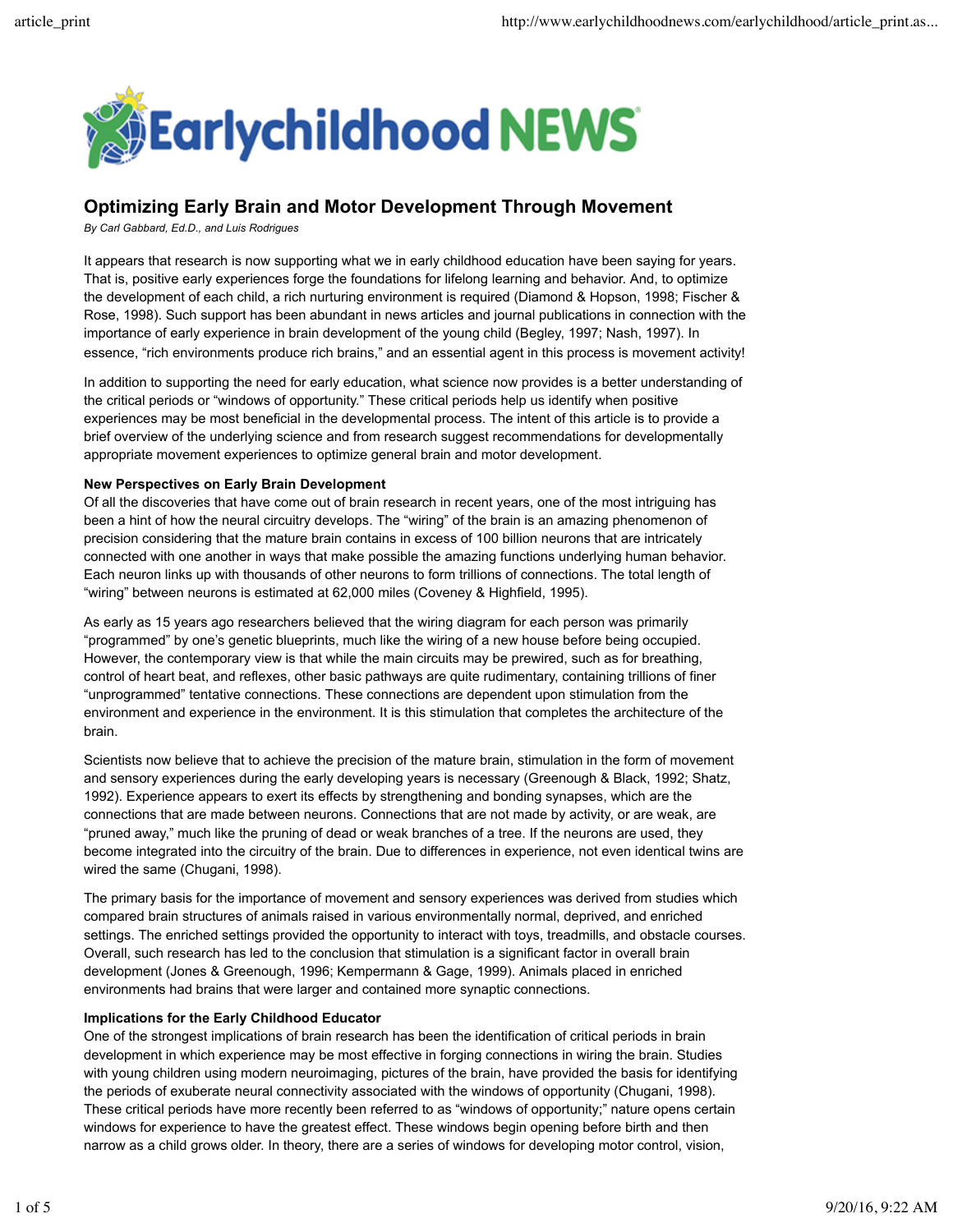

# **Optimizing Early Brain and Motor Development Through Movement**

*By Carl Gabbard, Ed.D., and Luis Rodrigues*

It appears that research is now supporting what we in early childhood education have been saying for years. That is, positive early experiences forge the foundations for lifelong learning and behavior. And, to optimize the development of each child, a rich nurturing environment is required (Diamond & Hopson, 1998; Fischer & Rose, 1998). Such support has been abundant in news articles and journal publications in connection with the importance of early experience in brain development of the young child (Begley, 1997; Nash, 1997). In essence, "rich environments produce rich brains," and an essential agent in this process is movement activity!

In addition to supporting the need for early education, what science now provides is a better understanding of the critical periods or "windows of opportunity." These critical periods help us identify when positive experiences may be most beneficial in the developmental process. The intent of this article is to provide a brief overview of the underlying science and from research suggest recommendations for developmentally appropriate movement experiences to optimize general brain and motor development.

#### **New Perspectives on Early Brain Development**

Of all the discoveries that have come out of brain research in recent years, one of the most intriguing has been a hint of how the neural circuitry develops. The "wiring" of the brain is an amazing phenomenon of precision considering that the mature brain contains in excess of 100 billion neurons that are intricately connected with one another in ways that make possible the amazing functions underlying human behavior. Each neuron links up with thousands of other neurons to form trillions of connections. The total length of "wiring" between neurons is estimated at 62,000 miles (Coveney & Highfield, 1995).

As early as 15 years ago researchers believed that the wiring diagram for each person was primarily "programmed" by one's genetic blueprints, much like the wiring of a new house before being occupied. However, the contemporary view is that while the main circuits may be prewired, such as for breathing, control of heart beat, and reflexes, other basic pathways are quite rudimentary, containing trillions of finer "unprogrammed" tentative connections. These connections are dependent upon stimulation from the environment and experience in the environment. It is this stimulation that completes the architecture of the brain.

Scientists now believe that to achieve the precision of the mature brain, stimulation in the form of movement and sensory experiences during the early developing years is necessary (Greenough & Black, 1992; Shatz, 1992). Experience appears to exert its effects by strengthening and bonding synapses, which are the connections that are made between neurons. Connections that are not made by activity, or are weak, are "pruned away," much like the pruning of dead or weak branches of a tree. If the neurons are used, they become integrated into the circuitry of the brain. Due to differences in experience, not even identical twins are wired the same (Chugani, 1998).

The primary basis for the importance of movement and sensory experiences was derived from studies which compared brain structures of animals raised in various environmentally normal, deprived, and enriched settings. The enriched settings provided the opportunity to interact with toys, treadmills, and obstacle courses. Overall, such research has led to the conclusion that stimulation is a significant factor in overall brain development (Jones & Greenough, 1996; Kempermann & Gage, 1999). Animals placed in enriched environments had brains that were larger and contained more synaptic connections.

#### **Implications for the Early Childhood Educator**

One of the strongest implications of brain research has been the identification of critical periods in brain development in which experience may be most effective in forging connections in wiring the brain. Studies with young children using modern neuroimaging, pictures of the brain, have provided the basis for identifying the periods of exuberate neural connectivity associated with the windows of opportunity (Chugani, 1998). These critical periods have more recently been referred to as "windows of opportunity;" nature opens certain windows for experience to have the greatest effect. These windows begin opening before birth and then narrow as a child grows older. In theory, there are a series of windows for developing motor control, vision,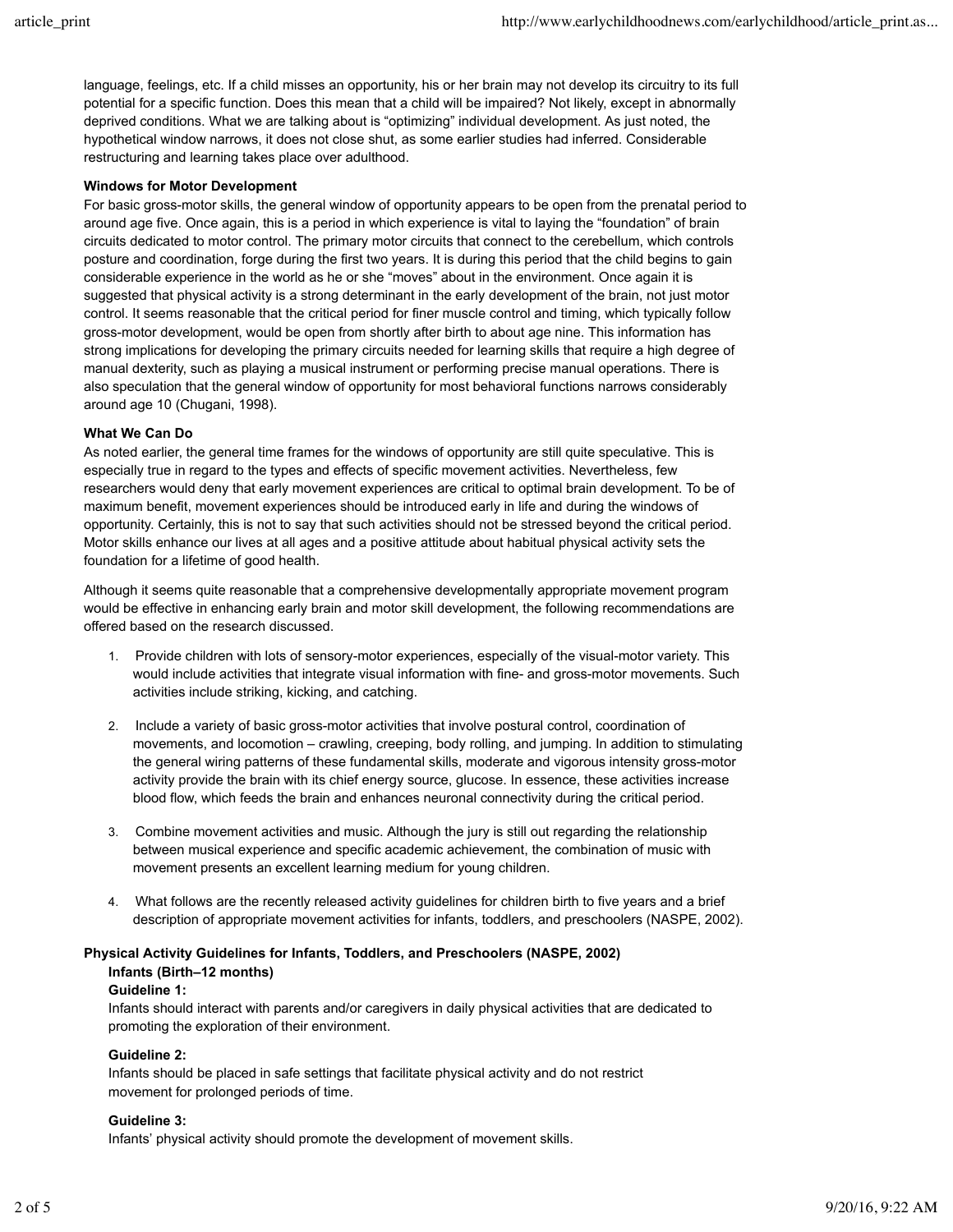language, feelings, etc. If a child misses an opportunity, his or her brain may not develop its circuitry to its full potential for a specific function. Does this mean that a child will be impaired? Not likely, except in abnormally deprived conditions. What we are talking about is "optimizing" individual development. As just noted, the hypothetical window narrows, it does not close shut, as some earlier studies had inferred. Considerable restructuring and learning takes place over adulthood.

## **Windows for Motor Development**

For basic gross-motor skills, the general window of opportunity appears to be open from the prenatal period to around age five. Once again, this is a period in which experience is vital to laying the "foundation" of brain circuits dedicated to motor control. The primary motor circuits that connect to the cerebellum, which controls posture and coordination, forge during the first two years. It is during this period that the child begins to gain considerable experience in the world as he or she "moves" about in the environment. Once again it is suggested that physical activity is a strong determinant in the early development of the brain, not just motor control. It seems reasonable that the critical period for finer muscle control and timing, which typically follow gross-motor development, would be open from shortly after birth to about age nine. This information has strong implications for developing the primary circuits needed for learning skills that require a high degree of manual dexterity, such as playing a musical instrument or performing precise manual operations. There is also speculation that the general window of opportunity for most behavioral functions narrows considerably around age 10 (Chugani, 1998).

## **What We Can Do**

As noted earlier, the general time frames for the windows of opportunity are still quite speculative. This is especially true in regard to the types and effects of specific movement activities. Nevertheless, few researchers would deny that early movement experiences are critical to optimal brain development. To be of maximum benefit, movement experiences should be introduced early in life and during the windows of opportunity. Certainly, this is not to say that such activities should not be stressed beyond the critical period. Motor skills enhance our lives at all ages and a positive attitude about habitual physical activity sets the foundation for a lifetime of good health.

Although it seems quite reasonable that a comprehensive developmentally appropriate movement program would be effective in enhancing early brain and motor skill development, the following recommendations are offered based on the research discussed.

- 1. Provide children with lots of sensory-motor experiences, especially of the visual-motor variety. This would include activities that integrate visual information with fine- and gross-motor movements. Such activities include striking, kicking, and catching.
- 2. Include a variety of basic gross-motor activities that involve postural control, coordination of movements, and locomotion – crawling, creeping, body rolling, and jumping. In addition to stimulating the general wiring patterns of these fundamental skills, moderate and vigorous intensity gross-motor activity provide the brain with its chief energy source, glucose. In essence, these activities increase blood flow, which feeds the brain and enhances neuronal connectivity during the critical period.
- 3. Combine movement activities and music. Although the jury is still out regarding the relationship between musical experience and specific academic achievement, the combination of music with movement presents an excellent learning medium for young children.
- 4. What follows are the recently released activity guidelines for children birth to five years and a brief description of appropriate movement activities for infants, toddlers, and preschoolers (NASPE, 2002).

## **Physical Activity Guidelines for Infants, Toddlers, and Preschoolers (NASPE, 2002)**

## **Infants (Birth–12 months)**

## **Guideline 1:**

Infants should interact with parents and/or caregivers in daily physical activities that are dedicated to promoting the exploration of their environment.

## **Guideline 2:**

Infants should be placed in safe settings that facilitate physical activity and do not restrict movement for prolonged periods of time.

## **Guideline 3:**

Infants' physical activity should promote the development of movement skills.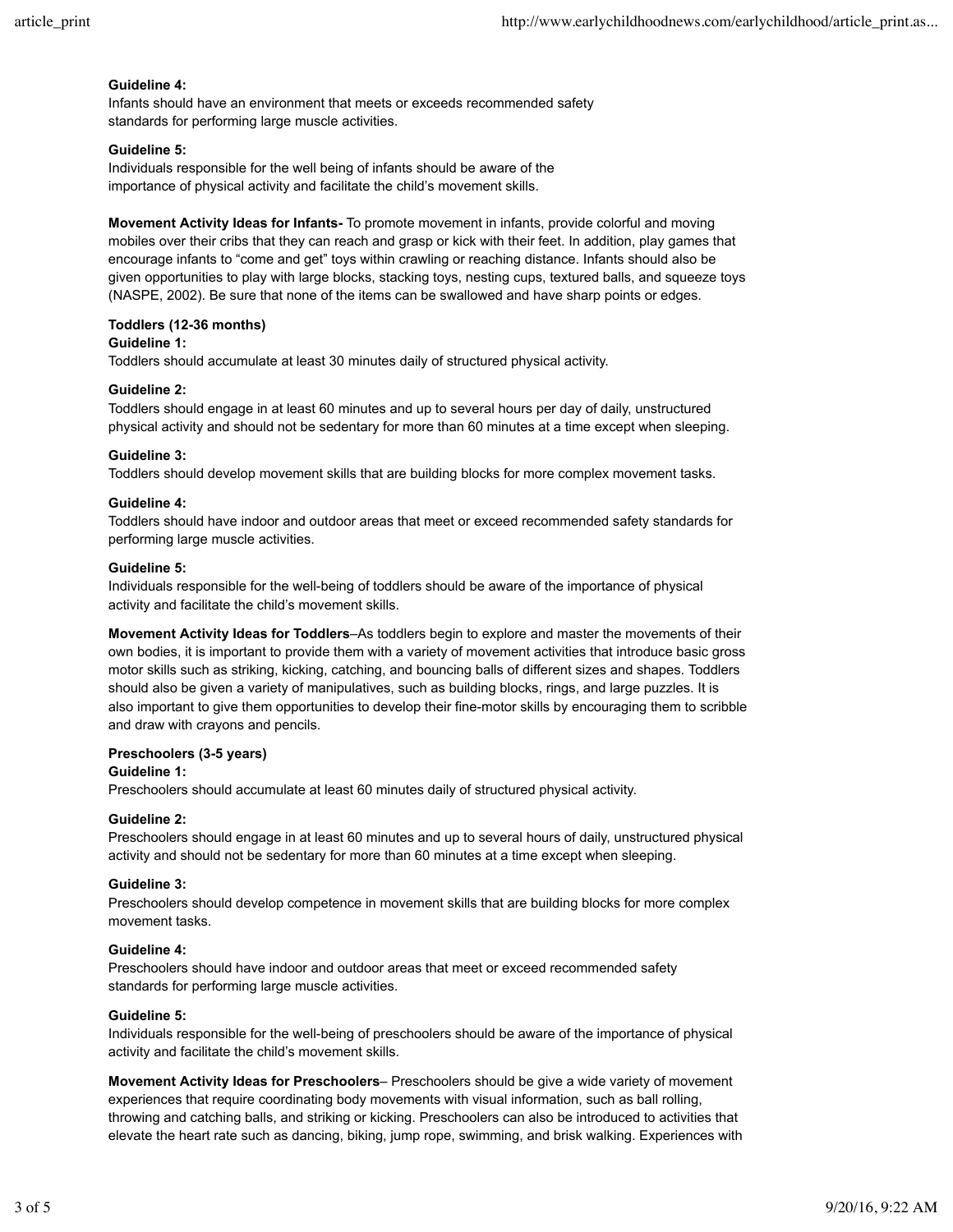### **Guideline 4:**

Infants should have an environment that meets or exceeds recommended safety standards for performing large muscle activities.

## **Guideline 5:**

Individuals responsible for the well being of infants should be aware of the importance of physical activity and facilitate the child's movement skills.

**Movement Activity Ideas for Infants-** To promote movement in infants, provide colorful and moving mobiles over their cribs that they can reach and grasp or kick with their feet. In addition, play games that encourage infants to "come and get" toys within crawling or reaching distance. Infants should also be given opportunities to play with large blocks, stacking toys, nesting cups, textured balls, and squeeze toys (NASPE, 2002). Be sure that none of the items can be swallowed and have sharp points or edges.

## **Toddlers (12-36 months)**

## **Guideline 1:**

Toddlers should accumulate at least 30 minutes daily of structured physical activity.

#### **Guideline 2:**

Toddlers should engage in at least 60 minutes and up to several hours per day of daily, unstructured physical activity and should not be sedentary for more than 60 minutes at a time except when sleeping.

#### **Guideline 3:**

Toddlers should develop movement skills that are building blocks for more complex movement tasks.

#### **Guideline 4:**

Toddlers should have indoor and outdoor areas that meet or exceed recommended safety standards for performing large muscle activities.

#### **Guideline 5:**

Individuals responsible for the well-being of toddlers should be aware of the importance of physical activity and facilitate the child's movement skills.

**Movement Activity Ideas for Toddlers**–As toddlers begin to explore and master the movements of their own bodies, it is important to provide them with a variety of movement activities that introduce basic gross motor skills such as striking, kicking, catching, and bouncing balls of different sizes and shapes. Toddlers should also be given a variety of manipulatives, such as building blocks, rings, and large puzzles. It is also important to give them opportunities to develop their fine-motor skills by encouraging them to scribble and draw with crayons and pencils.

## **Preschoolers (3-5 years)**

## **Guideline 1:**

Preschoolers should accumulate at least 60 minutes daily of structured physical activity.

## **Guideline 2:**

Preschoolers should engage in at least 60 minutes and up to several hours of daily, unstructured physical activity and should not be sedentary for more than 60 minutes at a time except when sleeping.

#### **Guideline 3:**

Preschoolers should develop competence in movement skills that are building blocks for more complex movement tasks.

## **Guideline 4:**

Preschoolers should have indoor and outdoor areas that meet or exceed recommended safety standards for performing large muscle activities.

#### **Guideline 5:**

Individuals responsible for the well-being of preschoolers should be aware of the importance of physical activity and facilitate the child's movement skills.

**Movement Activity Ideas for Preschoolers**– Preschoolers should be give a wide variety of movement experiences that require coordinating body movements with visual information, such as ball rolling, throwing and catching balls, and striking or kicking. Preschoolers can also be introduced to activities that elevate the heart rate such as dancing, biking, jump rope, swimming, and brisk walking. Experiences with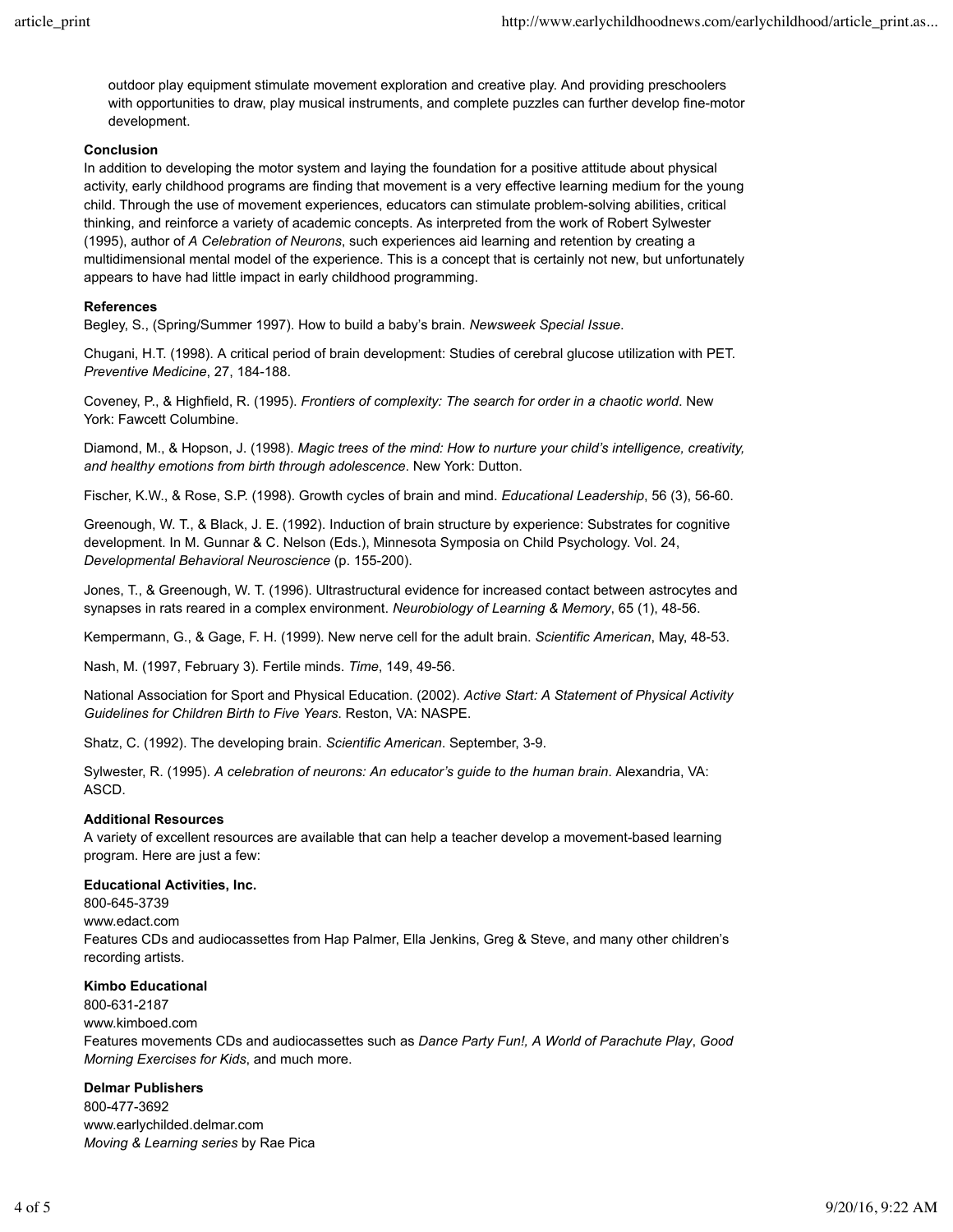outdoor play equipment stimulate movement exploration and creative play. And providing preschoolers with opportunities to draw, play musical instruments, and complete puzzles can further develop fine-motor development.

## **Conclusion**

In addition to developing the motor system and laying the foundation for a positive attitude about physical activity, early childhood programs are finding that movement is a very effective learning medium for the young child. Through the use of movement experiences, educators can stimulate problem-solving abilities, critical thinking, and reinforce a variety of academic concepts. As interpreted from the work of Robert Sylwester (1995), author of *A Celebration of Neurons*, such experiences aid learning and retention by creating a multidimensional mental model of the experience. This is a concept that is certainly not new, but unfortunately appears to have had little impact in early childhood programming.

## **References**

Begley, S., (Spring/Summer 1997). How to build a baby's brain. *Newsweek Special Issue*.

Chugani, H.T. (1998). A critical period of brain development: Studies of cerebral glucose utilization with PET. *Preventive Medicine*, 27, 184-188.

Coveney, P., & Highfield, R. (1995). *Frontiers of complexity: The search for order in a chaotic world*. New York: Fawcett Columbine.

Diamond, M., & Hopson, J. (1998). *Magic trees of the mind: How to nurture your child's intelligence, creativity, and healthy emotions from birth through adolescence*. New York: Dutton.

Fischer, K.W., & Rose, S.P. (1998). Growth cycles of brain and mind. *Educational Leadership*, 56 (3), 56-60.

Greenough, W. T., & Black, J. E. (1992). Induction of brain structure by experience: Substrates for cognitive development. In M. Gunnar & C. Nelson (Eds.), Minnesota Symposia on Child Psychology. Vol. 24, *Developmental Behavioral Neuroscience* (p. 155-200).

Jones, T., & Greenough, W. T. (1996). Ultrastructural evidence for increased contact between astrocytes and synapses in rats reared in a complex environment. *Neurobiology of Learning & Memory*, 65 (1), 48-56.

Kempermann, G., & Gage, F. H. (1999). New nerve cell for the adult brain. *Scientific American*, May, 48-53.

Nash, M. (1997, February 3). Fertile minds. *Time*, 149, 49-56.

National Association for Sport and Physical Education. (2002). *Active Start: A Statement of Physical Activity Guidelines for Children Birth to Five Years*. Reston, VA: NASPE.

Shatz, C. (1992). The developing brain. *Scientific American*. September, 3-9.

Sylwester, R. (1995). *A celebration of neurons: An educator's guide to the human brain*. Alexandria, VA: ASCD.

## **Additional Resources**

A variety of excellent resources are available that can help a teacher develop a movement-based learning program. Here are just a few:

## **Educational Activities, Inc.**

800-645-3739 www.edact.com Features CDs and audiocassettes from Hap Palmer, Ella Jenkins, Greg & Steve, and many other children's recording artists.

## **Kimbo Educational**

800-631-2187 www.kimboed.com Features movements CDs and audiocassettes such as *Dance Party Fun!, A World of Parachute Play*, *Good Morning Exercises for Kids*, and much more.

## **Delmar Publishers**

800-477-3692 www.earlychilded.delmar.com *Moving & Learning series* by Rae Pica